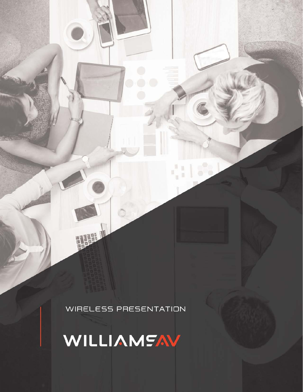WIRELESS PRESENTATION

四時止

Q

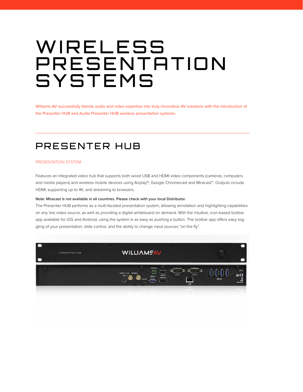# WIRELESS PRESENTATION **SYSTEMS**

Williams AV successfully blends audio and video expertise into truly innovative AV solutions with the introduction of the Presenter HUB and Audio Presenter HUB wireless presentation systems.

### PRESENTER HUB

### PRESENTATION SYSTEM

Features an integrated video hub that supports both wired USB and HDMI video components (cameras, computers and media players) and wireless mobile devices using Airplay®, Google Chromecast and Miracast™. Outputs include HDMI, supporting up to 4K, and streaming to browsers.

### Note: Miracast is not available in all countries. Please check with your local Distributor.

The Presenter HUB performs as a multi-faceted presentation system, allowing annotation and highlighting capabilities on any live video source, as well as providing a digital whiteboard on demand. With the intuitive, icon-based toolbar app available for iOS and Android, using the system is as easy as pushing a button. The toolbar app offers easy toggling of your presentation, slide control, and the ability to change input sources "on the fly".

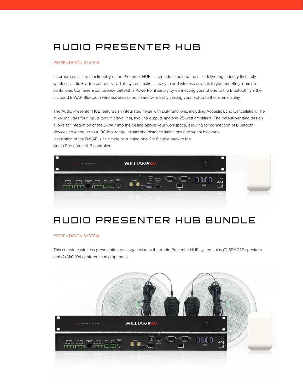### AUDIO PRESENTER HUB

#### PRESENTATION SYSTEM

Incorporates all the functionality of the Presenter HUB -- then adds audio to the mix, delivering industry first, truly wireless, audio + video connectivity. This system makes it easy to add wireless devices to your meeting room presentations: Combine a conference call with a PowerPoint simply by connecting your phone to the Bluetooth (via the included B-WAP Bluetooth wireless access point) and wirelessly casting your laptop to the room display.

The Audio Presenter HUB features an integrated mixer with DSP functions, including Acoustic Echo Cancellation. The mixer includes four inputs (two mic/two line), two line outputs and two 25-watt amplifiers. The patent-pending design allows for integration of the B-WAP into the ceiling above your workspace, allowing for connection of Bluetooth devices covering up to a 100-foot range, minimizing distance limitations and signal blockage. Installation of the B-WAP is as simple as running one Cat 6 cable back to the Audio Presenter HUB controller.



### AUDIO PRESENTER HUB BUNDLE

#### PRESENTATION SYSTEM

This complete wireless presentation package includes the Audio Presenter HUB system, plus (2) SPK 035 speakers and (2) MIC 104 conference microphones.